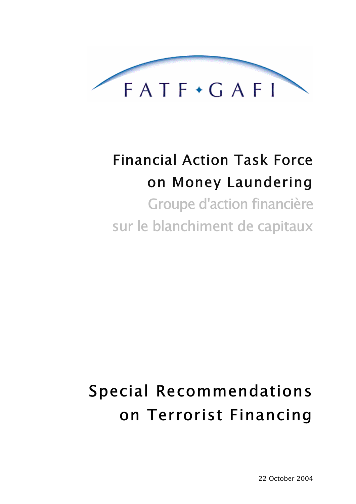

# **Financial Action Task Force** on Money Laundering

**Groupe d'action financière** sur le blanchiment de capitaux

# **Special Recommendations** on Terrorist Financing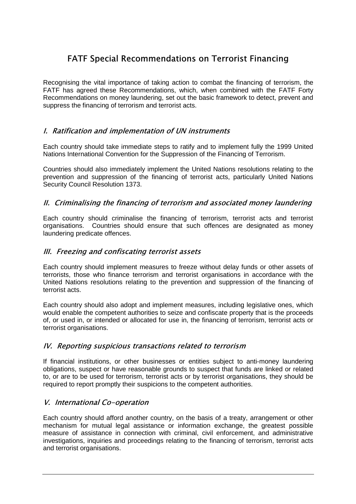# FATF Special Recommendations on Terrorist Financing

Recognising the vital importance of taking action to combat the financing of terrorism, the FATF has agreed these Recommendations, which, when combined with the FATF Forty Recommendations on money laundering, set out the basic framework to detect, prevent and suppress the financing of terrorism and terrorist acts.

# I. Ratification and implementation of UN instruments

Each country should take immediate steps to ratify and to implement fully the 1999 United Nations International Convention for the Suppression of the Financing of Terrorism.

Countries should also immediately implement the United Nations resolutions relating to the prevention and suppression of the financing of terrorist acts, particularly United Nations Security Council Resolution 1373.

### II. Criminalising the financing of terrorism and associated money laundering

Each country should criminalise the financing of terrorism, terrorist acts and terrorist organisations. Countries should ensure that such offences are designated as money laundering predicate offences.

#### III. Freezing and confiscating terrorist assets

Each country should implement measures to freeze without delay funds or other assets of terrorists, those who finance terrorism and terrorist organisations in accordance with the United Nations resolutions relating to the prevention and suppression of the financing of terrorist acts.

Each country should also adopt and implement measures, including legislative ones, which would enable the competent authorities to seize and confiscate property that is the proceeds of, or used in, or intended or allocated for use in, the financing of terrorism, terrorist acts or terrorist organisations.

#### IV. Reporting suspicious transactions related to terrorism

If financial institutions, or other businesses or entities subject to anti-money laundering obligations, suspect or have reasonable grounds to suspect that funds are linked or related to, or are to be used for terrorism, terrorist acts or by terrorist organisations, they should be required to report promptly their suspicions to the competent authorities.

#### V. International Co-operation

Each country should afford another country, on the basis of a treaty, arrangement or other mechanism for mutual legal assistance or information exchange, the greatest possible measure of assistance in connection with criminal, civil enforcement, and administrative investigations, inquiries and proceedings relating to the financing of terrorism, terrorist acts and terrorist organisations.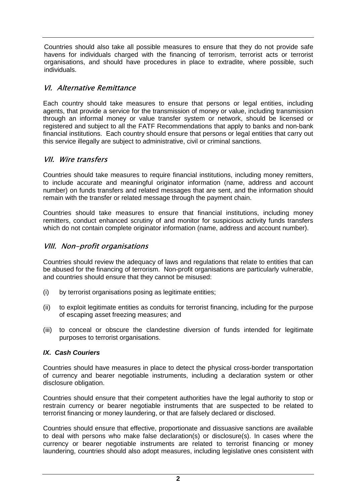Countries should also take all possible measures to ensure that they do not provide safe havens for individuals charged with the financing of terrorism, terrorist acts or terrorist organisations, and should have procedures in place to extradite, where possible, such individuals.

# VI. Alternative Remittance

Each country should take measures to ensure that persons or legal entities, including agents, that provide a service for the transmission of money or value, including transmission through an informal money or value transfer system or network, should be licensed or registered and subject to all the FATF Recommendations that apply to banks and non-bank financial institutions. Each country should ensure that persons or legal entities that carry out this service illegally are subject to administrative, civil or criminal sanctions.

# **VII.** Wire transfers

Countries should take measures to require financial institutions, including money remitters, to include accurate and meaningful originator information (name, address and account number) on funds transfers and related messages that are sent, and the information should remain with the transfer or related message through the payment chain.

Countries should take measures to ensure that financial institutions, including money remitters, conduct enhanced scrutiny of and monitor for suspicious activity funds transfers which do not contain complete originator information (name, address and account number).

# VIII. Non-profit organisations

Countries should review the adequacy of laws and regulations that relate to entities that can be abused for the financing of terrorism. Non-profit organisations are particularly vulnerable, and countries should ensure that they cannot be misused:

- (i) by terrorist organisations posing as legitimate entities;
- (ii) to exploit legitimate entities as conduits for terrorist financing, including for the purpose of escaping asset freezing measures; and
- (iii) to conceal or obscure the clandestine diversion of funds intended for legitimate purposes to terrorist organisations.

### **IX. Cash Couriers**

Countries should have measures in place to detect the physical cross-border transportation of currency and bearer negotiable instruments, including a declaration system or other disclosure obligation.

Countries should ensure that their competent authorities have the legal authority to stop or restrain currency or bearer negotiable instruments that are suspected to be related to terrorist financing or money laundering, or that are falsely declared or disclosed.

Countries should ensure that effective, proportionate and dissuasive sanctions are available to deal with persons who make false declaration(s) or disclosure(s). In cases where the currency or bearer negotiable instruments are related to terrorist financing or money laundering, countries should also adopt measures, including legislative ones consistent with